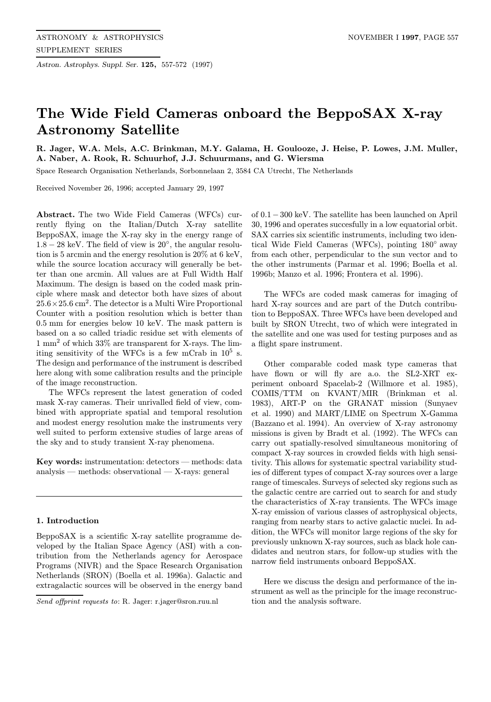Astron. Astrophys. Suppl. Ser. 125, 557-572 (1997)

# The Wide Field Cameras onboard the BeppoSAX X-ray Astronomy Satellite

R. Jager, W.A. Mels, A.C. Brinkman, M.Y. Galama, H. Goulooze, J. Heise, P. Lowes, J.M. Muller, A. Naber, A. Rook, R. Schuurhof, J.J. Schuurmans, and G. Wiersma

Space Research Organisation Netherlands, Sorbonnelaan 2, 3584 CA Utrecht, The Netherlands

Received November 26, 1996; accepted January 29, 1997

Abstract. The two Wide Field Cameras (WFCs) currently flying on the Italian/Dutch X-ray satellite BeppoSAX, image the X-ray sky in the energy range of  $1.8 - 28$  keV. The field of view is  $20^{\circ}$ , the angular resolution is 5 arcmin and the energy resolution is 20% at 6 keV, while the source location accuracy will generally be better than one arcmin. All values are at Full Width Half Maximum. The design is based on the coded mask principle where mask and detector both have sizes of about  $25.6 \times 25.6$  cm<sup>2</sup>. The detector is a Multi Wire Proportional Counter with a position resolution which is better than 0.5 mm for energies below 10 keV. The mask pattern is based on a so called triadic residue set with elements of  $1 \text{ mm}^2$  of which  $33\%$  are transparent for X-rays. The limiting sensitivity of the WFCs is a few mCrab in  $10^5$  s. The design and performance of the instrument is described here along with some calibration results and the principle of the image reconstruction.

The WFCs represent the latest generation of coded mask X-ray cameras. Their unrivalled field of view, combined with appropriate spatial and temporal resolution and modest energy resolution make the instruments very well suited to perform extensive studies of large areas of the sky and to study transient X-ray phenomena.

Key words: instrumentation: detectors — methods: data analysis — methods: observational — X-rays: general

#### 1. Introduction

BeppoSAX is a scientific X-ray satellite programme developed by the Italian Space Agency (ASI) with a contribution from the Netherlands agency for Aerospace Programs (NIVR) and the Space Research Organisation Netherlands (SRON) (Boella et al. 1996a). Galactic and extragalactic sources will be observed in the energy band

Send offprint requests to: R. Jager: r.jager@sron.ruu.nl

of 0.1−300 keV. The satellite has been launched on April 30, 1996 and operates succesfully in a low equatorial orbit. SAX carries six scientific instruments, including two identical Wide Field Cameras (WFCs), pointing 180◦ away from each other, perpendicular to the sun vector and to the other instruments (Parmar et al. 1996; Boella et al. 1996b; Manzo et al. 1996; Frontera et al. 1996).

The WFCs are coded mask cameras for imaging of hard X-ray sources and are part of the Dutch contribution to BeppoSAX. Three WFCs have been developed and built by SRON Utrecht, two of which were integrated in the satellite and one was used for testing purposes and as a flight spare instrument.

Other comparable coded mask type cameras that have flown or will fly are a.o. the SL2-XRT experiment onboard Spacelab-2 (Willmore et al. 1985), COMIS/TTM on KVANT/MIR (Brinkman et al. 1983), ART-P on the GRANAT mission (Sunyaev et al. 1990) and MART/LIME on Spectrum X-Gamma (Bazzano et al. 1994). An overview of X-ray astronomy missions is given by Bradt et al. (1992). The WFCs can carry out spatially-resolved simultaneous monitoring of compact X-ray sources in crowded fields with high sensitivity. This allows for systematic spectral variability studies of different types of compact X-ray sources over a large range of timescales. Surveys of selected sky regions such as the galactic centre are carried out to search for and study the characteristics of X-ray transients. The WFCs image X-ray emission of various classes of astrophysical objects, ranging from nearby stars to active galactic nuclei. In addition, the WFCs will monitor large regions of the sky for previously unknown X-ray sources, such as black hole candidates and neutron stars, for follow-up studies with the narrow field instruments onboard BeppoSAX.

Here we discuss the design and performance of the instrument as well as the principle for the image reconstruction and the analysis software.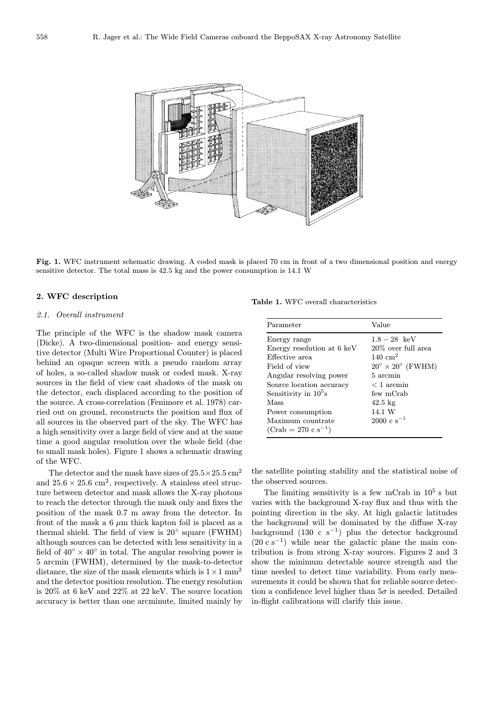

Fig. 1. WFC instrument schematic drawing. A coded mask is placed 70 cm in front of a two dimensional position and energy sensitive detector. The total mass is 42.5 kg and the power consumption is 14.1 W

### 2. WFC description

#### 2.1. Overall instrument

The principle of the WFC is the shadow mask camera (Dicke). A two-dimensional position- and energy sensitive detector (Multi Wire Proportional Counter) is placed behind an opaque screen with a pseudo random array of holes, a so-called shadow mask or coded mask. X-ray sources in the field of view cast shadows of the mask on the detector, each displaced according to the position of the source. A cross-correlation (Fenimore et al. 1978) carried out on ground, reconstructs the position and flux of all sources in the observed part of the sky. The WFC has a high sensitivity over a large field of view and at the same time a good angular resolution over the whole field (due to small mask holes). Figure 1 shows a schematic drawing of the WFC.

The detector and the mask have sizes of  $25.5 \times 25.5$  cm<sup>2</sup> and  $25.6 \times 25.6$  cm<sup>2</sup>, respectively. A stainless steel structure between detector and mask allows the X-ray photons to reach the detector through the mask only and fixes the position of the mask 0.7 m away from the detector. In front of the mask a  $6 \mu m$  thick kapton foil is placed as a thermal shield. The field of view is 20◦ square (FWHM) although sources can be detected with less sensitivity in a field of  $40° \times 40°$  in total. The angular resolving power is 5 arcmin (FWHM), determined by the mask-to-detector distance, the size of the mask elements which is  $1 \times 1$  mm<sup>2</sup> and the detector position resolution. The energy resolution is 20% at 6 keV and 22% at 22 keV. The source location accuracy is better than one arcminute, limited mainly by

Table 1. WFC overall characteristics

| Parameter                                    | Value                                 |
|----------------------------------------------|---------------------------------------|
| Energy range                                 | $1.8 - 28$ keV                        |
| Energy resolution at 6 keV                   | 20\% over full area                   |
| Effective area                               | $140 \text{ cm}^2$                    |
| Field of view                                | $20^{\circ} \times 20^{\circ}$ (FWHM) |
| Angular resolving power                      | 5 arcmin                              |
| Source location accuracy                     | $< 1$ arcmin                          |
| Sensitivity in $10^5$ s                      | few mCrab                             |
| Mass                                         | $42.5 \text{ kg}$                     |
| Power consumption                            | 14.1 W                                |
| Maximum countrate<br>$(Crab = 270 c s^{-1})$ | $2000 \text{ c s}^{-1}$               |

the satellite pointing stability and the statistical noise of the observed sources.

The limiting sensitivity is a few mCrab in  $10^5$  s but varies with the background X-ray flux and thus with the pointing direction in the sky. At high galactic latitudes the background will be dominated by the diffuse X-ray background  $(130 \text{ c s}^{-1})$  plus the detector background  $(20 \text{ c s}^{-1})$  while near the galactic plane the main contribution is from strong X-ray sources. Figures 2 and 3 show the minimum detectable source strength and the time needed to detect time variability. From early measurements it could be shown that for reliable source detection a confidence level higher than  $5\sigma$  is needed. Detailed in-flight calibrations will clarify this issue.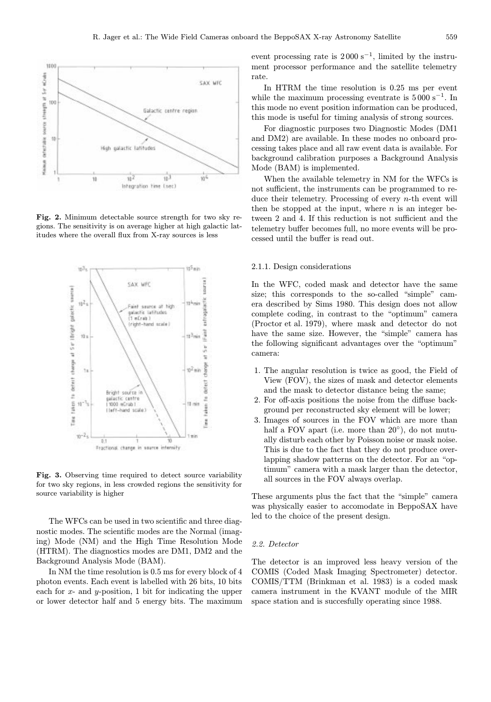

Fig. 2. Minimum detectable source strength for two sky regions. The sensitivity is on average higher at high galactic latitudes where the overall flux from X-ray sources is less



Fig. 3. Observing time required to detect source variability for two sky regions, in less crowded regions the sensitivity for source variability is higher

The WFCs can be used in two scientific and three diagnostic modes. The scientific modes are the Normal (imaging) Mode (NM) and the High Time Resolution Mode (HTRM). The diagnostics modes are DM1, DM2 and the Background Analysis Mode (BAM).

In NM the time resolution is 0.5 ms for every block of 4 photon events. Each event is labelled with 26 bits, 10 bits each for  $x$ - and  $y$ -position, 1 bit for indicating the upper or lower detector half and 5 energy bits. The maximum event processing rate is  $2000 \text{ s}^{-1}$ , limited by the instrument processor performance and the satellite telemetry rate.

In HTRM the time resolution is 0.25 ms per event while the maximum processing eventrate is  $5000 \text{ s}^{-1}$ . In this mode no event position information can be produced, this mode is useful for timing analysis of strong sources.

For diagnostic purposes two Diagnostic Modes (DM1 and DM2) are available. In these modes no onboard processing takes place and all raw event data is available. For background calibration purposes a Background Analysis Mode (BAM) is implemented.

When the available telemetry in NM for the WFCs is not sufficient, the instruments can be programmed to reduce their telemetry. Processing of every n-th event will then be stopped at the input, where  $n$  is an integer between 2 and 4. If this reduction is not sufficient and the telemetry buffer becomes full, no more events will be processed until the buffer is read out.

## 2.1.1. Design considerations

In the WFC, coded mask and detector have the same size; this corresponds to the so-called "simple" camera described by Sims 1980. This design does not allow complete coding, in contrast to the "optimum" camera (Proctor et al. 1979), where mask and detector do not have the same size. However, the "simple" camera has the following significant advantages over the "optimum" camera:

- 1. The angular resolution is twice as good, the Field of View (FOV), the sizes of mask and detector elements and the mask to detector distance being the same;
- 2. For off-axis positions the noise from the diffuse background per reconstructed sky element will be lower;
- 3. Images of sources in the FOV which are more than half a FOV apart (i.e. more than 20<sup>°</sup>), do not mutually disturb each other by Poisson noise or mask noise. This is due to the fact that they do not produce overlapping shadow patterns on the detector. For an "optimum" camera with a mask larger than the detector, all sources in the FOV always overlap.

These arguments plus the fact that the "simple" camera was physically easier to accomodate in BeppoSAX have led to the choice of the present design.

#### 2.2. Detector

The detector is an improved less heavy version of the COMIS (Coded Mask Imaging Spectrometer) detector. COMIS/TTM (Brinkman et al. 1983) is a coded mask camera instrument in the KVANT module of the MIR space station and is succesfully operating since 1988.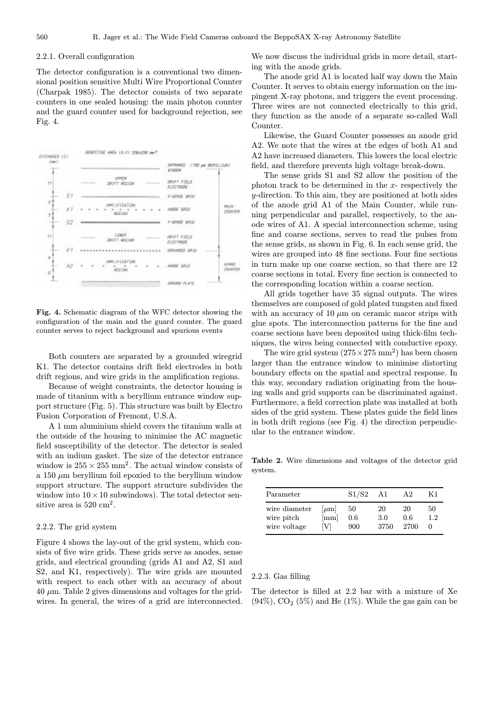## 2.2.1. Overall configuration

The detector configuration is a conventional two dimensional position sensitive Multi Wire Proportional Counter (Charpak 1985). The detector consists of two separate counters in one sealed housing: the main photon counter and the guard counter used for background rejection, see Fig. 4.



Fig. 4. Schematic diagram of the WFC detector showing the configuration of the main and the guard counter. The guard counter serves to reject background and spurious events

Both counters are separated by a grounded wiregrid K1. The detector contains drift field electrodes in both drift regions, and wire grids in the amplification regions.

Because of weight constraints, the detector housing is made of titanium with a beryllium entrance window support structure (Fig. 5). This structure was built by Electro Fusion Corporation of Fremont, U.S.A.

A 1 mm aluminium shield covers the titanium walls at the outside of the housing to minimise the AC magnetic field susceptibility of the detector. The detector is sealed with an indium gasket. The size of the detector entrance window is  $255 \times 255$  mm<sup>2</sup>. The actual window consists of a 150  $\mu$ m beryllium foil epoxied to the beryllium window support structure. The support structure subdivides the window into  $10 \times 10$  subwindows). The total detector sensitive area is  $520 \text{ cm}^2$ .

## 2.2.2. The grid system

Figure 4 shows the lay-out of the grid system, which consists of five wire grids. These grids serve as anodes, sense grids, and electrical grounding (grids A1 and A2, S1 and S2, and K1, respectively). The wire grids are mounted with respect to each other with an accuracy of about  $40 \mu m$ . Table 2 gives dimensions and voltages for the gridwires. In general, the wires of a grid are interconnected.

We now discuss the individual grids in more detail, starting with the anode grids.

The anode grid A1 is located half way down the Main Counter. It serves to obtain energy information on the impingent X-ray photons, and triggers the event processing. Three wires are not connected electrically to this grid, they function as the anode of a separate so-called Wall Counter.

Likewise, the Guard Counter possesses an anode grid A2. We note that the wires at the edges of both A1 and A2 have increased diameters. This lowers the local electric field, and therefore prevents high voltage break-down.

The sense grids S1 and S2 allow the position of the photon track to be determined in the  $x$ - respectively the y-direction. To this aim, they are positioned at both sides of the anode grid A1 of the Main Counter, while running perpendicular and parallel, respectively, to the anode wires of A1. A special interconnection scheme, using fine and coarse sections, serves to read the pulses from the sense grids, as shown in Fig. 6. In each sense grid, the wires are grouped into 48 fine sections. Four fine sections in turn make up one coarse section, so that there are 12 coarse sections in total. Every fine section is connected to the corresponding location within a coarse section.

All grids together have 35 signal outputs. The wires themselves are composed of gold plated tungsten and fixed with an accuracy of 10  $\mu$ m on ceramic macor strips with glue spots. The interconnection patterns for the fine and coarse sections have been deposited using thick-film techniques, the wires being connected with conductive epoxy.

The wire grid system  $(275 \times 275 \text{ mm}^2)$  has been chosen larger than the entrance window to minimise distorting boundary effects on the spatial and spectral response. In this way, secondary radiation originating from the housing walls and grid supports can be discriminated against. Furthermore, a field correction plate was installed at both sides of the grid system. These plates guide the field lines in both drift regions (see Fig. 4) the direction perpendicular to the entrance window.

Table 2. Wire dimensions and voltages of the detector grid system.

| Parameter                                   |                                             | S1/S2            | A1                | A <sub>2</sub>    | Κ1        |
|---------------------------------------------|---------------------------------------------|------------------|-------------------|-------------------|-----------|
| wire diameter<br>wire pitch<br>wire voltage | $ \mu m $<br>$\left[ \rm{mm} \right]$<br>Vl | 50<br>0.6<br>900 | 20<br>3.0<br>3750 | 20<br>0.6<br>2700 | 50<br>1.2 |

#### 2.2.3. Gas filling

The detector is filled at 2.2 bar with a mixture of Xe  $(94\%)$ ,  $CO<sub>2</sub>$  (5%) and He (1%). While the gas gain can be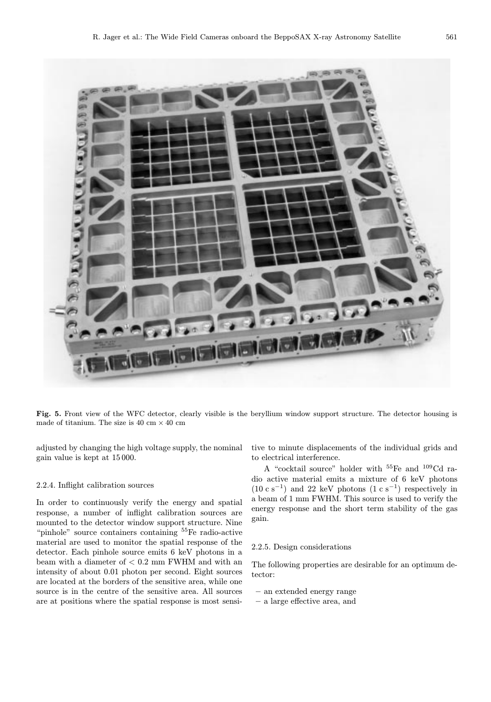

Fig. 5. Front view of the WFC detector, clearly visible is the beryllium window support structure. The detector housing is made of titanium. The size is 40 cm  $\times$  40 cm

adjusted by changing the high voltage supply, the nominal gain value is kept at 15000.

# 2.2.4. Inflight calibration sources

In order to continuously verify the energy and spatial response, a number of inflight calibration sources are mounted to the detector window support structure. Nine "pinhole" source containers containing <sup>55</sup>Fe radio-active material are used to monitor the spatial response of the detector. Each pinhole source emits 6 keV photons in a beam with a diameter of < 0.2 mm FWHM and with an intensity of about 0.01 photon per second. Eight sources are located at the borders of the sensitive area, while one source is in the centre of the sensitive area. All sources are at positions where the spatial response is most sensitive to minute displacements of the individual grids and to electrical interference.

A "cocktail source" holder with <sup>55</sup>Fe and <sup>109</sup>Cd radio active material emits a mixture of 6 keV photons (10 c s<sup>-1</sup>) and 22 keV photons (1 c s<sup>-1</sup>) respectively in a beam of 1 mm FWHM. This source is used to verify the energy response and the short term stability of the gas gain.

### 2.2.5. Design considerations

The following properties are desirable for an optimum detector:

- an extended energy range
- a large effective area, and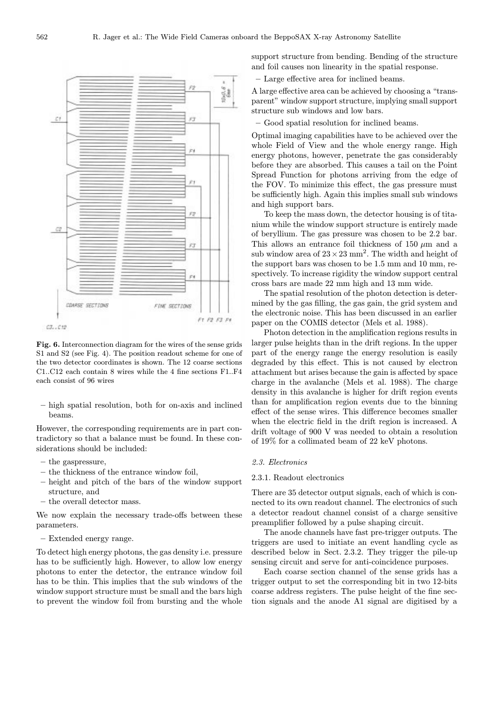

Fig. 6. Interconnection diagram for the wires of the sense grids S1 and S2 (see Fig. 4). The position readout scheme for one of the two detector coordinates is shown. The 12 coarse sections C1..C12 each contain 8 wires while the 4 fine sections F1..F4 each consist of 96 wires

– high spatial resolution, both for on-axis and inclined beams.

However, the corresponding requirements are in part contradictory so that a balance must be found. In these considerations should be included:

- the gaspressure,
- the thickness of the entrance window foil,
- height and pitch of the bars of the window support structure, and
- the overall detector mass.

We now explain the necessary trade-offs between these parameters.

– Extended energy range.

To detect high energy photons, the gas density i.e. pressure has to be sufficiently high. However, to allow low energy photons to enter the detector, the entrance window foil has to be thin. This implies that the sub windows of the window support structure must be small and the bars high to prevent the window foil from bursting and the whole support structure from bending. Bending of the structure and foil causes non linearity in the spatial response.

– Large effective area for inclined beams.

A large effective area can be achieved by choosing a "transparent" window support structure, implying small support structure sub windows and low bars.

– Good spatial resolution for inclined beams.

Optimal imaging capabilities have to be achieved over the whole Field of View and the whole energy range. High energy photons, however, penetrate the gas considerably before they are absorbed. This causes a tail on the Point Spread Function for photons arriving from the edge of the FOV. To minimize this effect, the gas pressure must be sufficiently high. Again this implies small sub windows and high support bars.

To keep the mass down, the detector housing is of titanium while the window support structure is entirely made of beryllium. The gas pressure was chosen to be 2.2 bar. This allows an entrance foil thickness of 150  $\mu$ m and a sub window area of  $23 \times 23$  mm<sup>2</sup>. The width and height of the support bars was chosen to be 1.5 mm and 10 mm, respectively. To increase rigidity the window support central cross bars are made 22 mm high and 13 mm wide.

The spatial resolution of the photon detection is determined by the gas filling, the gas gain, the grid system and the electronic noise. This has been discussed in an earlier paper on the COMIS detector (Mels et al. 1988).

Photon detection in the amplification regions results in larger pulse heights than in the drift regions. In the upper part of the energy range the energy resolution is easily degraded by this effect. This is not caused by electron attachment but arises because the gain is affected by space charge in the avalanche (Mels et al. 1988). The charge density in this avalanche is higher for drift region events than for amplification region events due to the binning effect of the sense wires. This difference becomes smaller when the electric field in the drift region is increased. A drift voltage of 900 V was needed to obtain a resolution of 19% for a collimated beam of 22 keV photons.

## 2.3. Electronics

## 2.3.1. Readout electronics

There are 35 detector output signals, each of which is connected to its own readout channel. The electronics of such a detector readout channel consist of a charge sensitive preamplifier followed by a pulse shaping circuit.

The anode channels have fast pre-trigger outputs. The triggers are used to initiate an event handling cycle as described below in Sect. 2.3.2. They trigger the pile-up sensing circuit and serve for anti-coincidence purposes.

Each coarse section channel of the sense grids has a trigger output to set the corresponding bit in two 12-bits coarse address registers. The pulse height of the fine section signals and the anode A1 signal are digitised by a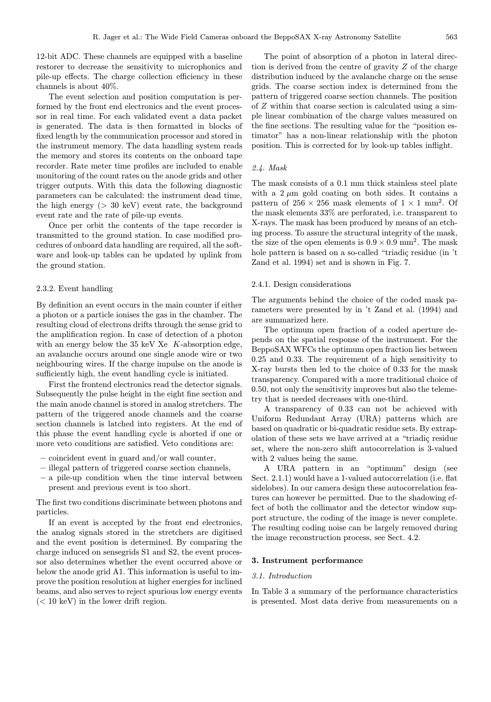12-bit ADC. These channels are equipped with a baseline restorer to decrease the sensitivity to microphonics and pile-up effects. The charge collection efficiency in these channels is about 40%.

The event selection and position computation is performed by the front end electronics and the event processor in real time. For each validated event a data packet is generated. The data is then formatted in blocks of fixed length by the communication processor and stored in the instrument memory. The data handling system reads the memory and stores its contents on the onboard tape recorder. Rate meter time profiles are included to enable monitoring of the count rates on the anode grids and other trigger outputs. With this data the following diagnostic parameters can be calculated: the instrument dead time, the high energy  $(> 30 \text{ keV})$  event rate, the background event rate and the rate of pile-up events.

Once per orbit the contents of the tape recorder is transmitted to the ground station. In case modified procedures of onboard data handling are required, all the software and look-up tables can be updated by uplink from the ground station.

#### 2.3.2. Event handling

By definition an event occurs in the main counter if either a photon or a particle ionises the gas in the chamber. The resulting cloud of electrons drifts through the sense grid to the amplification region. In case of detection of a photon with an energy below the  $35 \text{ keV}$  Xe K-absorption edge, an avalanche occurs around one single anode wire or two neighbouring wires. If the charge impulse on the anode is sufficiently high, the event handling cycle is initiated.

First the frontend electronics read the detector signals. Subsequently the pulse height in the eight fine section and the main anode channel is stored in analog stretchers. The pattern of the triggered anode channels and the coarse section channels is latched into registers. At the end of this phase the event handling cycle is aborted if one or more veto conditions are satisfied. Veto conditions are:

- coincident event in guard and/or wall counter,
- illegal pattern of triggered coarse section channels,
- a pile-up condition when the time interval between present and previous event is too short.

The first two conditions discriminate between photons and particles.

If an event is accepted by the front end electronics, the analog signals stored in the stretchers are digitised and the event position is determined. By comparing the charge induced on sensegrids S1 and S2, the event processor also determines whether the event occurred above or below the anode grid A1. This information is useful to improve the position resolution at higher energies for inclined beams, and also serves to reject spurious low energy events  $(< 10 \text{ keV})$  in the lower drift region.

The point of absorption of a photon in lateral direction is derived from the centre of gravity Z of the charge distribution induced by the avalanche charge on the sense grids. The coarse section index is determined from the pattern of triggered coarse section channels. The position of Z within that coarse section is calculated using a simple linear combination of the charge values measured on the fine sections. The resulting value for the "position estimator" has a non-linear relationship with the photon position. This is corrected for by look-up tables inflight.

#### 2.4. Mask

The mask consists of a 0.1 mm thick stainless steel plate with a  $2 \mu m$  gold coating on both sides. It contains a pattern of  $256 \times 256$  mask elements of  $1 \times 1$  mm<sup>2</sup>. Of the mask elements 33% are perforated, i.e. transparent to X-rays. The mask has been produced by means of an etching process. To assure the structural integrity of the mask, the size of the open elements is  $0.9 \times 0.9$  mm<sup>2</sup>. The mask hole pattern is based on a so-called "triadic residue (in 't Zand et al. 1994) set and is shown in Fig. 7.

#### 2.4.1. Design considerations

The arguments behind the choice of the coded mask parameters were presented by in 't Zand et al. (1994) and are summarized here.

The optimum open fraction of a coded aperture depends on the spatial response of the instrument. For the BeppoSAX WFCs the optimum open fraction lies between 0.25 and 0.33. The requirement of a high sensitivity to X-ray bursts then led to the choice of 0.33 for the mask transparency. Compared with a more traditional choice of 0.50, not only the sensitivity improves but also the telemetry that is needed decreases with one-third.

A transparency of 0.33 can not be achieved with Uniform Redundant Array (URA) patterns which are based on quadratic or bi-quadratic residue sets. By extrapolation of these sets we have arrived at a "triadic residue" set, where the non-zero shift autocorrelation is 3-valued with 2 values being the same.

A URA pattern in an "optimum" design (see Sect. 2.1.1) would have a 1-valued autocorrelation (i.e. flat sidelobes). In our camera design these autocorrelation features can however be permitted. Due to the shadowing effect of both the collimator and the detector window support structure, the coding of the image is never complete. The resulting coding noise can be largely removed during the image reconstruction process, see Sect. 4.2.

#### 3. Instrument performance

#### 3.1. Introduction

In Table 3 a summary of the performance characteristics is presented. Most data derive from measurements on a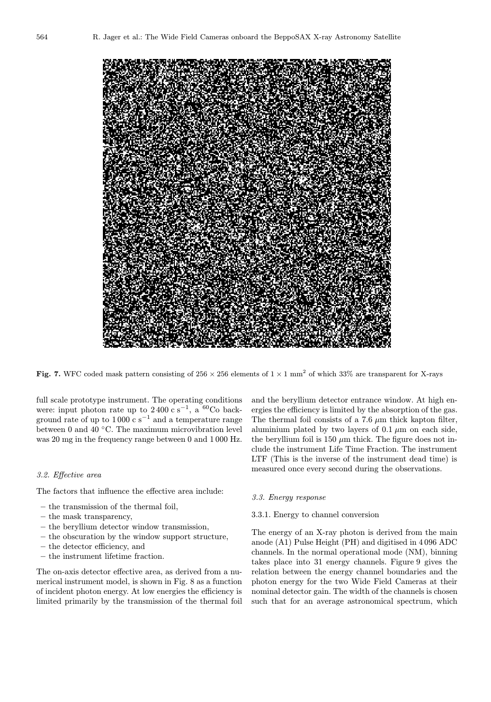

Fig. 7. WFC coded mask pattern consisting of  $256 \times 256$  elements of  $1 \times 1$  mm<sup>2</sup> of which 33% are transparent for X-rays

full scale prototype instrument. The operating conditions were: input photon rate up to 2400 c s<sup>-1</sup>, a <sup>60</sup>Co background rate of up to 1000 c s<sup>-1</sup> and a temperature range between 0 and 40 ◦C. The maximum microvibration level was 20 mg in the frequency range between 0 and 1 000 Hz.

#### 3.2. Effective area

The factors that influence the effective area include:

- the transmission of the thermal foil,
- the mask transparency,
- the beryllium detector window transmission,
- the obscuration by the window support structure,
- the detector efficiency, and
- the instrument lifetime fraction.

The on-axis detector effective area, as derived from a numerical instrument model, is shown in Fig. 8 as a function of incident photon energy. At low energies the efficiency is limited primarily by the transmission of the thermal foil

and the beryllium detector entrance window. At high energies the efficiency is limited by the absorption of the gas. The thermal foil consists of a  $7.6 \mu m$  thick kapton filter, aluminium plated by two layers of  $0.1 \mu m$  on each side, the beryllium foil is 150  $\mu$ m thick. The figure does not include the instrument Life Time Fraction. The instrument LTF (This is the inverse of the instrument dead time) is measured once every second during the observations.

## 3.3. Energy response

# 3.3.1. Energy to channel conversion

The energy of an X-ray photon is derived from the main anode (A1) Pulse Height (PH) and digitised in 4096 ADC channels. In the normal operational mode (NM), binning takes place into 31 energy channels. Figure 9 gives the relation between the energy channel boundaries and the photon energy for the two Wide Field Cameras at their nominal detector gain. The width of the channels is chosen such that for an average astronomical spectrum, which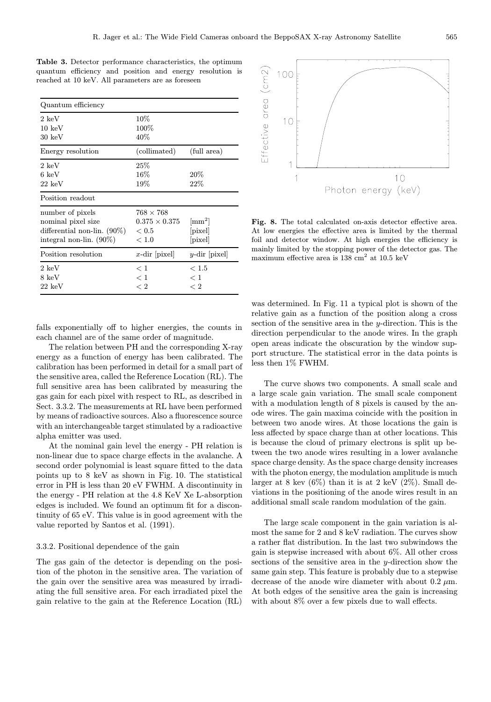Table 3. Detector performance characteristics, the optimum quantum efficiency and position and energy resolution is reached at 10 keV. All parameters are as foreseen

| Quantum efficiency                                                                                     |                                                          |                                                      |
|--------------------------------------------------------------------------------------------------------|----------------------------------------------------------|------------------------------------------------------|
| $2 \; \mathrm{keV}$<br>$10 \text{ keV}$<br>$30 \text{ keV}$                                            | $10\%$<br>100%<br>$40\%$                                 |                                                      |
| Energy resolution                                                                                      | (collimated)                                             | (full area)                                          |
| $2 \text{ keV}$<br>$6 \text{ keV}$<br>$22 \text{ keV}$                                                 | 25%<br>$16\%$<br>$19\%$                                  | 20%<br>22%                                           |
| Position readout                                                                                       |                                                          |                                                      |
| number of pixels<br>nominal pixel size<br>differential non-lin. $(90\%)$<br>integral non-lin. $(90\%)$ | $768\times768$<br>$0.375 \times 0.375$<br>< 0.5<br>< 1.0 | $\rm [mm^2]$<br>$ \text{pixel} $<br>$ \text{pixel} $ |
| Position resolution                                                                                    | x-dir $ pixel $                                          | $y$ -dir $ pixel $                                   |
| $2\;{\rm keV}$<br>8 keV<br>$22 \text{ keV}$                                                            | < 1<br>< 1<br>< 2                                        | < 1.5<br>< 1<br>< 2                                  |

falls exponentially off to higher energies, the counts in each channel are of the same order of magnitude.

The relation between PH and the corresponding X-ray energy as a function of energy has been calibrated. The calibration has been performed in detail for a small part of the sensitive area, called the Reference Location (RL). The full sensitive area has been calibrated by measuring the gas gain for each pixel with respect to RL, as described in Sect. 3.3.2. The measurements at RL have been performed by means of radioactive sources. Also a fluorescence source with an interchangeable target stimulated by a radioactive alpha emitter was used.

At the nominal gain level the energy - PH relation is non-linear due to space charge effects in the avalanche. A second order polynomial is least square fitted to the data points up to 8 keV as shown in Fig. 10. The statistical error in PH is less than 20 eV FWHM. A discontinuity in the energy - PH relation at the 4.8 KeV Xe L-absorption edges is included. We found an optimum fit for a discontinuity of 65 eV. This value is in good agreement with the value reported by Santos et al. (1991).

## 3.3.2. Positional dependence of the gain

The gas gain of the detector is depending on the position of the photon in the sensitive area. The variation of the gain over the sensitive area was measured by irradiating the full sensitive area. For each irradiated pixel the gain relative to the gain at the Reference Location (RL)



Fig. 8. The total calculated on-axis detector effective area. At low energies the effective area is limited by the thermal foil and detector window. At high energies the efficiency is mainly limited by the stopping power of the detector gas. The maximum effective area is  $138 \text{ cm}^2$  at  $10.5 \text{ keV}$ 

was determined. In Fig. 11 a typical plot is shown of the relative gain as a function of the position along a cross section of the sensitive area in the  $y$ -direction. This is the direction perpendicular to the anode wires. In the graph open areas indicate the obscuration by the window support structure. The statistical error in the data points is less then 1% FWHM.

The curve shows two components. A small scale and a large scale gain variation. The small scale component with a modulation length of 8 pixels is caused by the anode wires. The gain maxima coincide with the position in between two anode wires. At those locations the gain is less affected by space charge than at other locations. This is because the cloud of primary electrons is split up between the two anode wires resulting in a lower avalanche space charge density. As the space charge density increases with the photon energy, the modulation amplitude is much larger at 8 kev  $(6\%)$  than it is at 2 keV  $(2\%)$ . Small deviations in the positioning of the anode wires result in an additional small scale random modulation of the gain.

The large scale component in the gain variation is almost the same for 2 and 8 keV radiation. The curves show a rather flat distribution. In the last two subwindows the gain is stepwise increased with about 6%. All other cross sections of the sensitive area in the y-direction show the same gain step. This feature is probably due to a stepwise decrease of the anode wire diameter with about  $0.2 \mu$ m. At both edges of the sensitive area the gain is increasing with about 8% over a few pixels due to wall effects.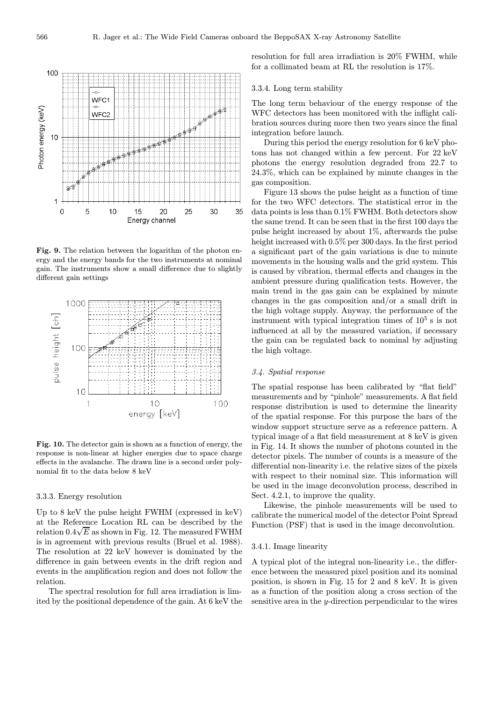

Fig. 9. The relation between the logarithm of the photon energy and the energy bands for the two instruments at nominal gain. The instruments show a small difference due to slightly different gain settings



Fig. 10. The detector gain is shown as a function of energy, the response is non-linear at higher energies due to space charge effects in the avalanche. The drawn line is a second order polynomial fit to the data below 8 keV

## 3.3.3. Energy resolution

Up to 8 keV the pulse height FWHM (expressed in keV) at the Reference Location RL can be described by the relation  $0.4\sqrt{E}$  as shown in Fig. 12. The measured FWHM is in agreement with previous results (Bruel et al. 1988). The resolution at 22 keV however is dominated by the difference in gain between events in the drift region and events in the amplification region and does not follow the relation.

The spectral resolution for full area irradiation is limited by the positional dependence of the gain. At 6 keV the resolution for full area irradiation is 20% FWHM, while for a collimated beam at RL the resolution is 17%.

#### 3.3.4. Long term stability

The long term behaviour of the energy response of the WFC detectors has been monitored with the inflight calibration sources during more then two years since the final integration before launch.

During this period the energy resolution for 6 keV photons has not changed within a few percent. For 22 keV photons the energy resolution degraded from 22.7 to 24.3%, which can be explained by minute changes in the gas composition.

Figure 13 shows the pulse height as a function of time for the two WFC detectors. The statistical error in the data points is less than 0.1% FWHM. Both detectors show the same trend. It can be seen that in the first 100 days the pulse height increased by about 1%, afterwards the pulse height increased with 0.5% per 300 days. In the first period a significant part of the gain variations is due to minute movements in the housing walls and the grid system. This is caused by vibration, thermal effects and changes in the ambient pressure during qualification tests. However, the main trend in the gas gain can be explained by minute changes in the gas composition and/or a small drift in the high voltage supply. Anyway, the performance of the instrument with typical integration times of  $10^5$  s is not influenced at all by the measured variation, if necessary the gain can be regulated back to nominal by adjusting the high voltage.

## 3.4. Spatial response

The spatial response has been calibrated by "flat field" measurements and by "pinhole" measurements. A flat field response distribution is used to determine the linearity of the spatial response. For this purpose the bars of the window support structure serve as a reference pattern. A typical image of a flat field measurement at 8 keV is given in Fig. 14. It shows the number of photons counted in the detector pixels. The number of counts is a measure of the differential non-linearity i.e. the relative sizes of the pixels with respect to their nominal size. This information will be used in the image deconvolution process, described in Sect. 4.2.1, to improve the quality.

Likewise, the pinhole measurements will be used to calibrate the numerical model of the detector Point Spread Function (PSF) that is used in the image deconvolution.

### 3.4.1. Image linearity

A typical plot of the integral non-linearity i.e., the difference between the measured pixel position and its nominal position, is shown in Fig. 15 for 2 and 8 keV. It is given as a function of the position along a cross section of the sensitive area in the y-direction perpendicular to the wires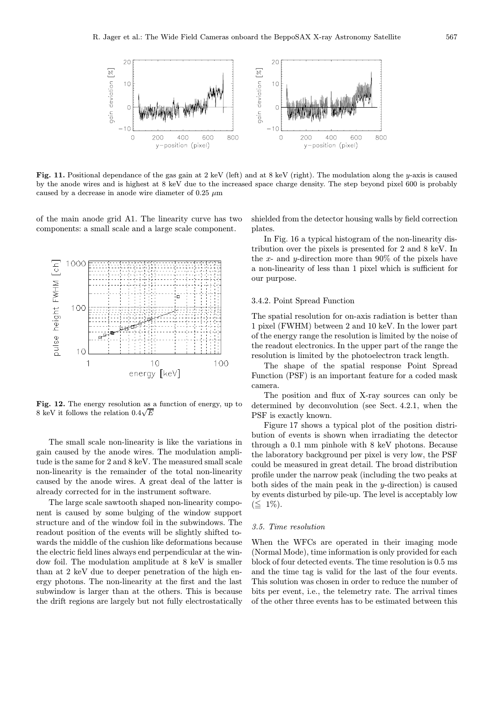

Fig. 11. Positional dependance of the gas gain at 2 keV (left) and at 8 keV (right). The modulation along the y-axis is caused by the anode wires and is highest at 8 keV due to the increased space charge density. The step beyond pixel 600 is probably caused by a decrease in anode wire diameter of 0.25  $\mu$ m

of the main anode grid A1. The linearity curve has two components: a small scale and a large scale component.



Fig. 12. The energy resolution as a function of energy, up to **Fig. 12.** The energy resolution as<br>8 keV it follows the relation  $0.4\sqrt{E}$ 

The small scale non-linearity is like the variations in gain caused by the anode wires. The modulation amplitude is the same for 2 and 8 keV. The measured small scale non-linearity is the remainder of the total non-linearity caused by the anode wires. A great deal of the latter is already corrected for in the instrument software.

The large scale sawtooth shaped non-linearity component is caused by some bulging of the window support structure and of the window foil in the subwindows. The readout position of the events will be slightly shifted towards the middle of the cushion like deformations because the electric field lines always end perpendicular at the window foil. The modulation amplitude at 8 keV is smaller than at 2 keV due to deeper penetration of the high energy photons. The non-linearity at the first and the last subwindow is larger than at the others. This is because the drift regions are largely but not fully electrostatically

shielded from the detector housing walls by field correction plates.

In Fig. 16 a typical histogram of the non-linearity distribution over the pixels is presented for 2 and 8 keV. In the x- and y-direction more than  $90\%$  of the pixels have a non-linearity of less than 1 pixel which is sufficient for our purpose.

## 3.4.2. Point Spread Function

The spatial resolution for on-axis radiation is better than 1 pixel (FWHM) between 2 and 10 keV. In the lower part of the energy range the resolution is limited by the noise of the readout electronics. In the upper part of the range the resolution is limited by the photoelectron track length.

The shape of the spatial response Point Spread Function (PSF) is an important feature for a coded mask camera.

The position and flux of X-ray sources can only be determined by deconvolution (see Sect. 4.2.1, when the PSF is exactly known.

Figure 17 shows a typical plot of the position distribution of events is shown when irradiating the detector through a 0.1 mm pinhole with 8 keV photons. Because the laboratory background per pixel is very low, the PSF could be measured in great detail. The broad distribution profile under the narrow peak (including the two peaks at both sides of the main peak in the  $y$ -direction) is caused by events disturbed by pile-up. The level is acceptably low  $(\leq 1\%).$ 

#### 3.5. Time resolution

When the WFCs are operated in their imaging mode (Normal Mode), time information is only provided for each block of four detected events. The time resolution is 0.5 ms and the time tag is valid for the last of the four events. This solution was chosen in order to reduce the number of bits per event, i.e., the telemetry rate. The arrival times of the other three events has to be estimated between this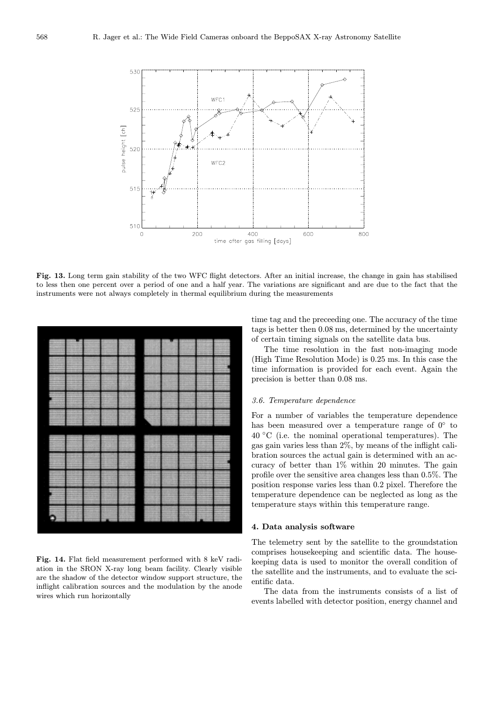

Fig. 13. Long term gain stability of the two WFC flight detectors. After an initial increase, the change in gain has stabilised to less then one percent over a period of one and a half year. The variations are significant and are due to the fact that the instruments were not always completely in thermal equilibrium during the measurements



Fig. 14. Flat field measurement performed with 8 keV radiation in the SRON X-ray long beam facility. Clearly visible are the shadow of the detector window support structure, the inflight calibration sources and the modulation by the anode wires which run horizontally

time tag and the preceeding one. The accuracy of the time tags is better then 0.08 ms, determined by the uncertainty of certain timing signals on the satellite data bus.

The time resolution in the fast non-imaging mode (High Time Resolution Mode) is 0.25 ms. In this case the time information is provided for each event. Again the precision is better than 0.08 ms.

# 3.6. Temperature dependence

For a number of variables the temperature dependence has been measured over a temperature range of  $0°$  to  $40\text{ °C}$  (i.e. the nominal operational temperatures). The gas gain varies less than 2%, by means of the inflight calibration sources the actual gain is determined with an accuracy of better than 1% within 20 minutes. The gain profile over the sensitive area changes less than 0.5%. The position response varies less than 0.2 pixel. Therefore the temperature dependence can be neglected as long as the temperature stays within this temperature range.

## 4. Data analysis software

The telemetry sent by the satellite to the groundstation comprises housekeeping and scientific data. The housekeeping data is used to monitor the overall condition of the satellite and the instruments, and to evaluate the scientific data.

The data from the instruments consists of a list of events labelled with detector position, energy channel and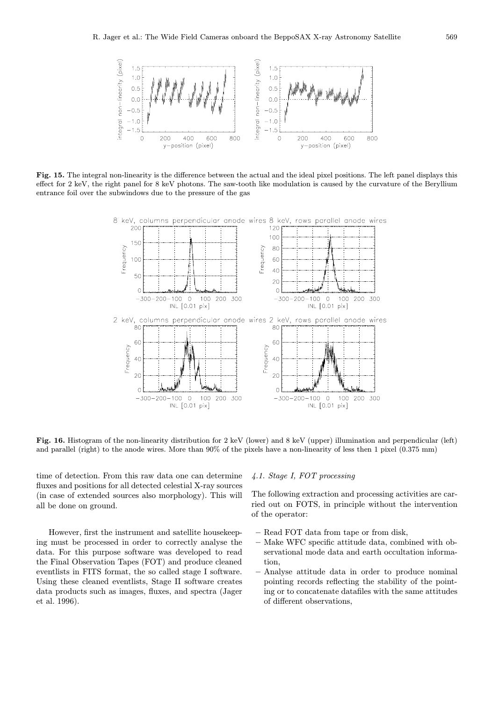

Fig. 15. The integral non-linearity is the difference between the actual and the ideal pixel positions. The left panel displays this effect for 2 keV, the right panel for 8 keV photons. The saw-tooth like modulation is caused by the curvature of the Beryllium entrance foil over the subwindows due to the pressure of the gas



Fig. 16. Histogram of the non-linearity distribution for 2 keV (lower) and 8 keV (upper) illumination and perpendicular (left) and parallel (right) to the anode wires. More than 90% of the pixels have a non-linearity of less then 1 pixel (0.375 mm)

time of detection. From this raw data one can determine fluxes and positions for all detected celestial X-ray sources (in case of extended sources also morphology). This will all be done on ground.

However, first the instrument and satellite housekeeping must be processed in order to correctly analyse the data. For this purpose software was developed to read the Final Observation Tapes (FOT) and produce cleaned eventlists in FITS format, the so called stage I software. Using these cleaned eventlists, Stage II software creates data products such as images, fluxes, and spectra (Jager et al. 1996).

#### 4.1. Stage I, FOT processing

The following extraction and processing activities are carried out on FOTS, in principle without the intervention of the operator:

- Read FOT data from tape or from disk,
- Make WFC specific attitude data, combined with observational mode data and earth occultation information,
- Analyse attitude data in order to produce nominal pointing records reflecting the stability of the pointing or to concatenate datafiles with the same attitudes of different observations,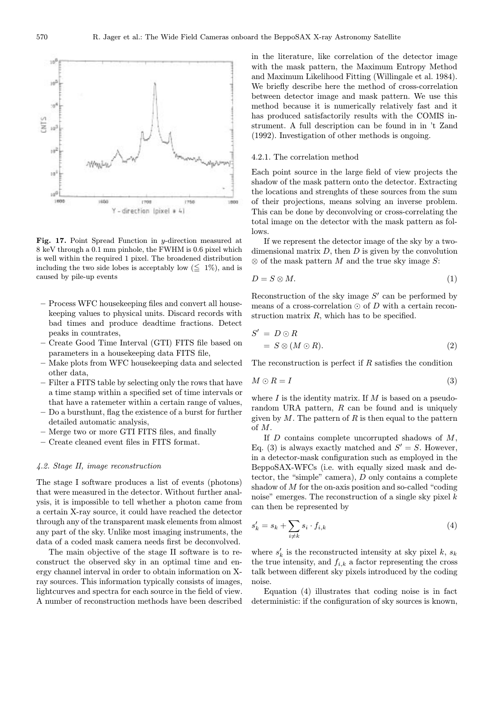

Fig. 17. Point Spread Function in y-direction measured at 8 keV through a 0.1 mm pinhole, the FWHM is 0.6 pixel which is well within the required 1 pixel. The broadened distribution including the two side lobes is acceptably low  $(\leq 1\%)$ , and is caused by pile-up events

- Process WFC housekeeping files and convert all housekeeping values to physical units. Discard records with bad times and produce deadtime fractions. Detect peaks in countrates,
- Create Good Time Interval (GTI) FITS file based on parameters in a housekeeping data FITS file,
- Make plots from WFC housekeeping data and selected other data,
- Filter a FITS table by selecting only the rows that have a time stamp within a specified set of time intervals or that have a ratemeter within a certain range of values,
- Do a bursthunt, flag the existence of a burst for further detailed automatic analysis,
- Merge two or more GTI FITS files, and finally
- Create cleaned event files in FITS format.

## 4.2. Stage II, image reconstruction

The stage I software produces a list of events (photons) that were measured in the detector. Without further analysis, it is impossible to tell whether a photon came from a certain X-ray source, it could have reached the detector through any of the transparent mask elements from almost any part of the sky. Unlike most imaging instruments, the data of a coded mask camera needs first be deconvolved.

The main objective of the stage II software is to reconstruct the observed sky in an optimal time and energy channel interval in order to obtain information on Xray sources. This information typically consists of images, lightcurves and spectra for each source in the field of view. A number of reconstruction methods have been described in the literature, like correlation of the detector image with the mask pattern, the Maximum Entropy Method and Maximum Likelihood Fitting (Willingale et al. 1984). We briefly describe here the method of cross-correlation between detector image and mask pattern. We use this method because it is numerically relatively fast and it has produced satisfactorily results with the COMIS instrument. A full description can be found in in 't Zand (1992). Investigation of other methods is ongoing.

## 4.2.1. The correlation method

Each point source in the large field of view projects the shadow of the mask pattern onto the detector. Extracting the locations and strenghts of these sources from the sum of their projections, means solving an inverse problem. This can be done by deconvolving or cross-correlating the total image on the detector with the mask pattern as follows.

If we represent the detector image of the sky by a twodimensional matrix  $D$ , then  $D$  is given by the convolution  $\otimes$  of the mask pattern M and the true sky image S:

$$
D = S \otimes M. \tag{1}
$$

Reconstruction of the sky image  $S'$  can be performed by means of a cross-correlation  $\odot$  of D with a certain reconstruction matrix  $R$ , which has to be specified.

$$
S' = D \odot R
$$
  
=  $S \otimes (M \odot R).$  (2)

The reconstruction is perfect if  $R$  satisfies the condition

$$
M \odot R = I \tag{3}
$$

where  $I$  is the identity matrix. If  $M$  is based on a pseudorandom URA pattern,  $R$  can be found and is uniquely given by  $M$ . The pattern of  $R$  is then equal to the pattern of M.

If  $D$  contains complete uncorrupted shadows of  $M$ , Eq. (3) is always exactly matched and  $S' = S$ . However, in a detector-mask configuration such as employed in the BeppoSAX-WFCs (i.e. with equally sized mask and detector, the "simple" camera),  $D$  only contains a complete shadow of M for the on-axis position and so-called "coding noise" emerges. The reconstruction of a single sky pixel  $k$ can then be represented by

$$
s_k' = s_k + \sum_{i \neq k} s_i \cdot f_{i,k} \tag{4}
$$

where  $s'_{k}$  is the reconstructed intensity at sky pixel  $k$ ,  $s_{k}$ the true intensity, and  $f_{i,k}$  a factor representing the cross talk between different sky pixels introduced by the coding noise.

Equation (4) illustrates that coding noise is in fact deterministic: if the configuration of sky sources is known,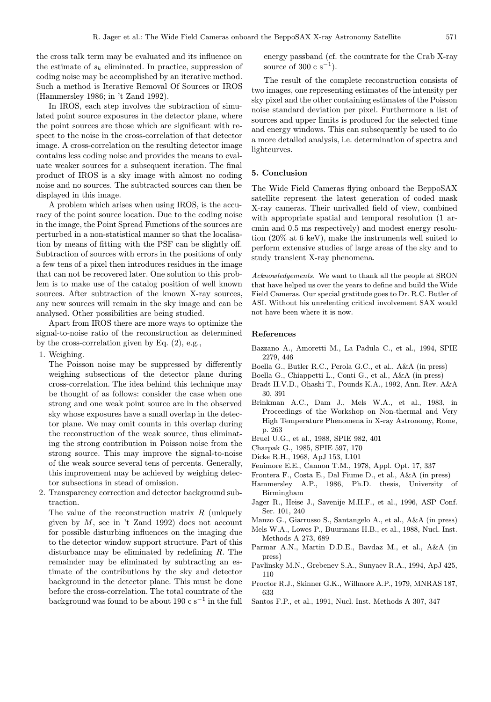the cross talk term may be evaluated and its influence on the estimate of  $s_k$  eliminated. In practice, suppression of coding noise may be accomplished by an iterative method. Such a method is Iterative Removal Of Sources or IROS (Hammersley 1986; in 't Zand 1992).

In IROS, each step involves the subtraction of simulated point source exposures in the detector plane, where the point sources are those which are significant with respect to the noise in the cross-correlation of that detector image. A cross-correlation on the resulting detector image contains less coding noise and provides the means to evaluate weaker sources for a subsequent iteration. The final product of IROS is a sky image with almost no coding noise and no sources. The subtracted sources can then be displayed in this image.

A problem which arises when using IROS, is the accuracy of the point source location. Due to the coding noise in the image, the Point Spread Functions of the sources are perturbed in a non-statistical manner so that the localisation by means of fitting with the PSF can be slightly off. Subtraction of sources with errors in the positions of only a few tens of a pixel then introduces residues in the image that can not be recovered later. One solution to this problem is to make use of the catalog position of well known sources. After subtraction of the known X-ray sources, any new sources will remain in the sky image and can be analysed. Other possibilities are being studied.

Apart from IROS there are more ways to optimize the signal-to-noise ratio of the reconstruction as determined by the cross-correlation given by Eq. (2), e.g.,

1. Weighing.

The Poisson noise may be suppressed by differently weighing subsections of the detector plane during cross-correlation. The idea behind this technique may be thought of as follows: consider the case when one strong and one weak point source are in the observed sky whose exposures have a small overlap in the detector plane. We may omit counts in this overlap during the reconstruction of the weak source, thus eliminating the strong contribution in Poisson noise from the strong source. This may improve the signal-to-noise of the weak source several tens of percents. Generally, this improvement may be achieved by weighing detector subsections in stead of omission.

2. Transparency correction and detector background subtraction.

The value of the reconstruction matrix  $R$  (uniquely given by  $M$ , see in 't Zand 1992) does not account for possible disturbing influences on the imaging due to the detector window support structure. Part of this disturbance may be eliminated by redefining R. The remainder may be eliminated by subtracting an estimate of the contributions by the sky and detector background in the detector plane. This must be done before the cross-correlation. The total countrate of the background was found to be about 190 c s<sup>−1</sup> in the full

energy passband (cf. the countrate for the Crab X-ray source of 300 c s<sup>-1</sup>).

The result of the complete reconstruction consists of two images, one representing estimates of the intensity per sky pixel and the other containing estimates of the Poisson noise standard deviation per pixel. Furthermore a list of sources and upper limits is produced for the selected time and energy windows. This can subsequently be used to do a more detailed analysis, i.e. determination of spectra and lightcurves.

## 5. Conclusion

The Wide Field Cameras flying onboard the BeppoSAX satellite represent the latest generation of coded mask X-ray cameras. Their unrivalled field of view, combined with appropriate spatial and temporal resolution (1 arcmin and 0.5 ms respectively) and modest energy resolution (20% at 6 keV), make the instruments well suited to perform extensive studies of large areas of the sky and to study transient X-ray phenomena.

Acknowledgements. We want to thank all the people at SRON that have helped us over the years to define and build the Wide Field Cameras. Our special gratitude goes to Dr. R.C. Butler of ASI. Without his unrelenting critical involvement SAX would not have been where it is now.

## References

- Bazzano A., Amoretti M., La Padula C., et al., 1994, SPIE 2279, 446
- Boella G., Butler R.C., Perola G.C., et al., A&A (in press)
- Boella G., Chiappetti L., Conti G., et al., A&A (in press)
- Bradt H.V.D., Ohashi T., Pounds K.A., 1992, Ann. Rev. A&A 30, 391
- Brinkman A.C., Dam J., Mels W.A., et al., 1983, in Proceedings of the Workshop on Non-thermal and Very High Temperature Phenomena in X-ray Astronomy, Rome, p. 263
- Bruel U.G., et al., 1988, SPIE 982, 401
- Charpak G., 1985, SPIE 597, 170
- Dicke R.H., 1968, ApJ 153, L101
- Fenimore E.E., Cannon T.M., 1978, Appl. Opt. 17, 337
- Frontera F., Costa E., Dal Fiume D., et al., A&A (in press)
- Hammersley A.P., 1986, Ph.D. thesis, University of Birmingham
- Jager R., Heise J., Savenije M.H.F., et al., 1996, ASP Conf. Ser. 101, 240
- Manzo G., Giarrusso S., Santangelo A., et al., A&A (in press)
- Mels W.A., Lowes P., Buurmans H.B., et al., 1988, Nucl. Inst. Methods A 273, 689
- Parmar A.N., Martin D.D.E., Bavdaz M., et al., A&A (in press)
- Pavlinsky M.N., Grebenev S.A., Sunyaev R.A., 1994, ApJ 425, 110
- Proctor R.J., Skinner G.K., Willmore A.P., 1979, MNRAS 187, 633
- Santos F.P., et al., 1991, Nucl. Inst. Methods A 307, 347